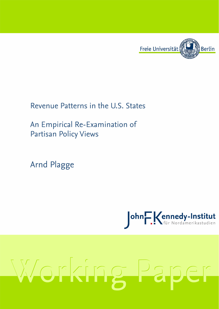

# Revenue Patterns in the U.S. States

An Empirical Re-Examination of **Partisan Policy Views** 

**Arnd Plagge** 



# Working Paper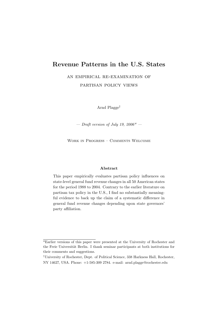# Revenue Patterns in the U.S. States

an empirical re-examination of

partisan policy views

Arnd Plagge†

— Draft version of July 19,  $2006^*$  —

Work in Progress – Comments Welcome

### Abstract

This paper empirically evaluates partisan policy influences on state-level general fund revenue changes in all 50 American states for the period 1988 to 2004. Contrary to the earlier literature on partisan tax policy in the U.S., I find no substantially meaningful evidence to back up the claim of a systematic difference in general fund revenue changes depending upon state governors' party affiliation.

<sup>\*</sup>Earlier versions of this paper were presented at the University of Rochester and the Freie Universität Berlin. I thank seminar participants at both institutions for their comments and suggestions.

<sup>†</sup>University of Rochester, Dept. of Political Science, 338 Harkness Hall, Rochester, NY 14627, USA. Phone: +1-585-309 2784. e-mail: arnd.plagge@rochester.edu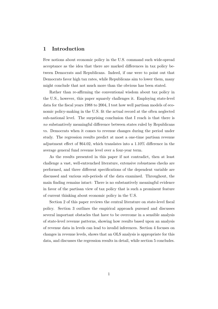# 1 Introduction

Few notions about economic policy in the U.S. command such wide-spread acceptance as the idea that there are marked differences in tax policy between Democrats and Republicans. Indeed, if one were to point out that Democrats favor high tax rates, while Republicans aim to lower them, many might conclude that not much more than the obvious has been stated.

Rather than re-affirming the conventional wisdom about tax policy in the U.S., however, this paper squarely challenges it. Employing state-level data for the fiscal years 1988 to 2004, I test how well partisan models of economic policy-making in the U.S. fit the actual record at the often neglected sub-national level. The surprising conclusion that I reach is that there is no substantively meaningful difference between states ruled by Republicans vs. Democrats when it comes to revenue changes during the period under study. The regression results predict at most a one-time partisan revenue adjustment effect of \$64.02, which translates into a 1.10% difference in the average general fund revenue level over a four-year term.

As the results presented in this paper if not contradict, then at least challenge a vast, well-entrenched literature, extensive robustness checks are performed, and three different specifications of the dependent variable are discussed and various sub-periods of the data examined. Throughout, the main finding remains intact: There is no substantively meaningful evidence in favor of the partisan view of tax policy that is such a prominent feature of current thinking about economic policy in the U.S.

Section 2 of this paper reviews the central literature on state-level fiscal policy. Section 3 outlines the empirical approach pursued and discusses several important obstacles that have to be overcome in a sensible analysis of state-level revenue patterns, showing how results based upon an analysis of revenue data in levels can lead to invalid inferences. Section 4 focuses on changes in revenue levels, shows that an OLS analysis is appropriate for this data, and discusses the regression results in detail, while section 5 concludes.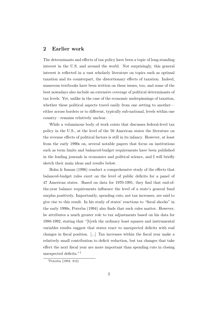# 2 Earlier work

The determinants and effects of tax policy have been a topic of long-standing interest in the U.S. and around the world. Not surprisingly, this general interest is reflected in a vast scholarly literature on topics such as optimal taxation and its counterpart, the distortionary effects of taxation. Indeed, numerous textbooks have been written on these issues, too, and some of the best nowadays also include an extensive coverage of political determinants of tax levels. Yet, unlike in the case of the economic underpinnings of taxation, whether these political aspects travel easily from one setting to another either across borders or to different, typically sub-national, levels within one country—remains relatively unclear.

While a voluminous body of work exists that discusses federal-level tax policy in the U.S., at the level of the 50 American states the literature on the revenue effects of political factors is still in its infancy. However, at least from the early 1990s on, several notable papers that focus on institutions such as term limits and balanced-budget requirements have been published in the leading journals in economics and political science, and I will briefly sketch their main ideas and results below.

Bohn & Inman (1996) conduct a comprehensive study of the effects that balanced-budget rules exert on the level of public deficits for a panel of 47 American states. Based on data for 1970-1991, they find that end-ofthe-year balance requirements influence the level of a state's general fund surplus positively. Importantly, spending cuts, not tax increases, are said to give rise to this result. In his study of states' reactions to "fiscal shocks" in the early 1990s, Poterba (1994) also finds that such rules matter. However, he attributes a much greater role to tax adjustments based on his data for 1988-1992, stating that "[b]oth the ordinary least squares and instrumental variables results suggest that states react to unexpected deficits with real changes in fiscal position. [...] Tax increases within the fiscal year make a relatively small contribution to deficit reduction, but tax changes that take effect the next fiscal year are more important than spending cuts in closing unexpected deficits."<sup>1</sup>

 $1$ Poterba (1994: 812)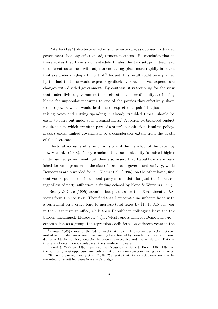Poterba (1994) also tests whether single-party rule, as opposed to divided government, has any effect on adjustment patterns. He concludes that in those states that have strict anti-deficit rules the two setups indeed lead to different outcomes, with adjustment taking place more rapidly in states that are under single-party control.<sup>2</sup> Indeed, this result could be explained by the fact that one would expect a gridlock over revenue vs. expenditure changes with divided government. By contrast, it is troubling for the view that under divided government the electorate has more difficulty attributing blame for unpopular measures to one of the parties that effectively share (some) power, which would lead one to expect that painful adjustments raising taxes and cutting spending in already troubled times—should be easier to carry out under such circumstances.<sup>3</sup> Apparently, balanced-budget requirements, which are often part of a state's constitution, insulate policymakers under unified government to a considerable extent from the wrath of the electorate.

Electoral accountability, in turn, is one of the main foci of the paper by Lowry et al. (1998). They conclude that accountability is indeed higher under unified government, yet they also assert that Republicans are punished for an expansion of the size of state-level government activity, while Democrats are rewarded for it.<sup>4</sup> Niemi et al. (1995), on the other hand, find that voters punish the incumbent party's candidate for past tax increases, regardless of party affiliation, a finding echoed by Kone & Winters (1993).

Besley & Case (1995) examine budget data for the 48 continental U.S. states from 1950 to 1986. They find that Democratic incumbents faced with a term limit on average tend to increase total taxes by \$10 to \$15 per year in their last term in office, while their Republican colleagues leave the tax burden unchanged. Moreover, "[a]n F–test rejects that, for Democratic governors taken as a group, the regression coefficients on different years in the

 $2$ Krause (2000) shows for the federal level that the simple discrete distinction between unified and divided government can usefully be extended by considering the (continuous) degree of ideological fragmentation between the executive and the legislature. Data at this level of detail is not available at the state-level, however.

<sup>&</sup>lt;sup>3</sup>Powell & Whitten (1993). See also the discussion in Berry & Berry (1992, 1994) on the politically most opportune moments for introducing new taxes or raising existing ones.

 $^{4}$ To be more exact, Lowry et al. (1998: 759) state that Democratic governors may be rewarded for small increases in a state's budget.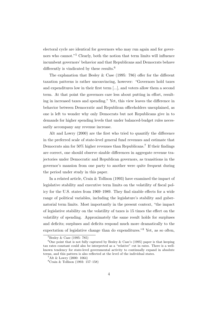electoral cycle are identical for governors who may run again and for governors who cannot."<sup>5</sup> Clearly, both the notion that term limits will influence incumbent governors' behavior and that Republicans and Democrats behave differently is vindicated by these results.<sup>6</sup>

The explanation that Besley  $\&$  Case (1995: 786) offer for the different taxation patterns is rather unconvincing, however: "Governors hold taxes and expenditures low in their first term [...], and voters allow them a second term. At that point the governors care less about putting in effort, resulting in increased taxes and spending." Yet, this view leaves the difference in behavior between Democratic and Republican officeholders unexplained, as one is left to wonder why only Democrats but not Republicans give in to demands for higher spending levels that under balanced-budget rules necessarily accompany any revenue increase.

Alt and Lowry (2000) are the first who tried to quantify the difference in the preferred scale of state-level general fund revenues and estimate that Democrats aim for  $50\%$  higher revenues than Republicans.<sup>7</sup> If their findings are correct, one should observe sizable differences in aggregate revenue trajectories under Democratic and Republican governors, as transitions in the governor's mansion from one party to another were quite frequent during the period under study in this paper.

In a related article, Crain & Tollison (1993) have examined the impact of legislative stability and executive term limits on the volatility of fiscal policy for the U.S. states from 1969–1989. They find sizable effects for a wide range of political variables, including the legislature's stability and gubernatorial term limits. Most importantly in the present context, "the impact of legislative stability on the volatility of taxes is 15 times the effect on the volatility of spending. Approximately the same result holds for surpluses and deficits; surpluses and deficits respond much more dramatically to the expectation of legislative change than do expenditures."<sup>8</sup> Yet, as so often,

 ${}^{5}$ Besley & Case (1995: 785)

<sup>&</sup>lt;sup>6</sup>One point that is not fully captured by Besley & Case's (1995) paper is that keeping tax rates constant could also be interpreted as a "relative" cut in rates. There is a wellknown tendency for state-level governmental activity to continually expand in absolute terms, and this pattern is also reflected at the level of the individual states.

 $7$ Alt & Lowry (2000: 1064)

 ${}^{8}$ Crain & Tollison (1993: 157–158)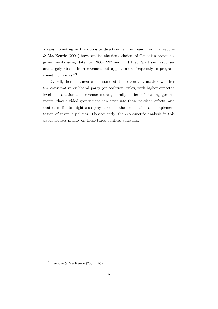a result pointing in the opposite direction can be found, too. Kneebone & MacKenzie (2001) have studied the fiscal choices of Canadian provincial governments using data for 1966–1997 and find that "partisan responses are largely absent from revenues but appear more frequently in program spending choices."<sup>9</sup>

Overall, there is a near-consensus that it substantively matters whether the conservative or liberal party (or coalition) rules, with higher expected levels of taxation and revenue more generally under left-leaning governments, that divided government can attenuate these partisan effects, and that term limits might also play a role in the formulation and implementation of revenue policies. Consequently, the econometric analysis in this paper focuses mainly on these three political variables.

<sup>9</sup>Kneebone & MacKenzie (2001: 753)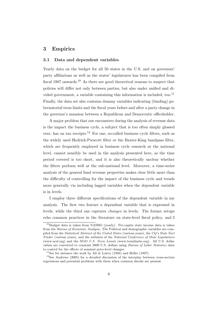# 3 Empirics

#### 3.1 Data and dependent variables

Yearly data on the budget for all 50 states in the U.S. and on governors' party affiliations as well as the states' legislatures has been compiled from fiscal 1987 onwards.<sup>10</sup> As there are good theoretical reasons to suspect that policies will differ not only between parties, but also under unified and divided government, a variable containing this information is included, too.<sup>11</sup> Finally, the data set also contains dummy variables indicating (binding) gubernatorial term limits and the fiscal years before and after a party change in the governor's mansion between a Republican and Democratic officeholder.

A major problem that one encounters during the analysis of revenue data is the impact the business cycle, a subject that is too often simply glossed over, has on tax receipts.<sup>12</sup> For one, so-called business cycle filters, such as the widely used Hodrick-Prescott filter or the Baxter-King bandpass filter, which are frequently employed in business cycle research at the national level, cannot sensibly be used in the analysis presented here, as the time period covered is too short, and it is also theoretically unclear whether the filters perform well at the sub-national level. Moreover, a time-series analysis of the general fund revenue properties makes clear little more than the difficulty of controlling for the impact of the business cycle and trends more generally via including lagged variables when the dependent variable is in levels.

I employ three different specifications of the dependent variable in my analysis. The first two feature a dependent variable that is expressed in levels, while the third one captures changes in levels. The former setups echo common practices in the literature on state-level fiscal policy, and I

 $10B$ udget data is taken from NASBO (yearly). Per-capita state income data is taken from the Bureau of Economic Analysis. The Political and demographic variables are compiled from the Statistical Abstract of the United States (various years), the CQ's State Fact Finder (various years), and the websites of the National Conference of State Legislatures (www.ncsl.org) and the NGO U.S. Term Limits (www.termlimits.org). All U.S. dollar values are converted to constant 2000 U.S. dollars using Bureau of Labor Statistics data to control for the effects of nominal price-level changes.

<sup>&</sup>lt;sup>11</sup>See for instance the work by Alt & Lowry (1994) and Heller (1997).

<sup>12</sup>See Andrews (2005) for a detailed discussion of the interplay between cross-section regressions and potential problems with them when common shocks are present.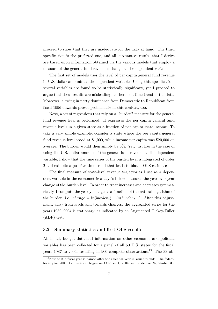proceed to show that they are inadequate for the data at hand. The third specification is the preferred one, and all substantive results that I derive are based upon information obtained via the various models that employ a measure of the general fund revenue's change as the dependent variable.

The first set of models uses the level of per capita general fund revenue in U.S. dollar amounts as the dependent variable. Using this specification, several variables are found to be statistically significant, yet I proceed to argue that these results are misleading, as there is a time trend in the data. Moreover, a swing in party dominance from Democratic to Republican from fiscal 1996 onwards proves problematic in this context, too.

Next, a set of regressions that rely on a "burden" measure for the general fund revenue level is performed. It expresses the per capita general fund revenue levels in a given state as a fraction of per capita state income. To take a very simple example, consider a state where the per capita general fund revenue level stood at \$1,000, while income per capita was \$20,000 on average. The burden would then simply be 5%. Yet, just like in the case of using the U.S. dollar amount of the general fund revenue as the dependent variable, I show that the time series of the burden level is integrated of order 2 and exhibits a positive time trend that leads to biased OLS estimates.

The final measure of state-level revenue trajectories I use as a dependent variable in the econometric analysis below measures the year-over-year change of the burden level. In order to treat increases and decreases symmetrically, I compute the yearly change as a function of the natural logarithm of the burden, i.e., *change* =  $ln(burden_t) - ln(burden_{t-1})$ . After this adjustment, away from levels and towards changes, the aggregated series for the years 1989–2004 is stationary, as indicated by an Augmented Dickey-Fuller (ADF) test.

#### 3.2 Summary statistics and first OLS results

All in all, budget data and information on other economic and political variables has been collected for a panel of all 50 U.S. states for the fiscal years 1987 to 2004, resulting in 900 complete observations.<sup>13</sup> The 33 ob-

<sup>&</sup>lt;sup>13</sup>Note that a fiscal year is named after the calendar year in which it ends. The federal fiscal year 2005, for instance, began on October 1, 2004, and ended on September 30,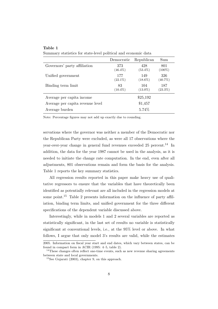| Summary statistics for state-level political and economic data |  |  |  |  |  |  |  |  |
|----------------------------------------------------------------|--|--|--|--|--|--|--|--|
|----------------------------------------------------------------|--|--|--|--|--|--|--|--|

|                                  | Democratic        | Republican        | Sum               |
|----------------------------------|-------------------|-------------------|-------------------|
| Governors' party affiliation     | 373<br>$(46.4\%)$ | 428<br>$(53.4\%)$ | 801<br>$(100\%)$  |
| Unified government               | 177<br>$(22.1\%)$ | 149<br>$(18.6\%)$ | 326<br>$(40.7\%)$ |
| Binding term limit               | 83<br>$(10.4\%)$  | 104<br>$(13.0\%)$ | 187<br>$(23.3\%)$ |
| Average per capita income        |                   | \$25,192          |                   |
| Average per capita revenue level |                   | \$1,457           |                   |
| Average burden                   |                   | 5.74\%            |                   |

Note: Percentage figures may not add up exactly due to rounding.

servations where the governor was neither a member of the Democratic nor the Republican Party were excluded, as were all 17 observations where the year-over-year change in general fund revenues exceeded 25 percent.<sup>14</sup> In addition, the data for the year 1987 cannot be used in the analysis, as it is needed to initiate the change rate computation. In the end, even after all adjustments, 801 observations remain and form the basis for the analysis. Table 1 reports the key summary statistics.

All regression results reported in this paper make heavy use of qualitative regressors to ensure that the variables that have theoretically been identified as potentially relevant are all included in the regression models at some point.<sup>15</sup> Table 2 presents information on the influence of party affiliation, binding term limits, and unified government for the three different specifications of the dependent variable discussed above.

Interestingly, while in models 1 and 2 several variables are reported as statistically significant, in the last set of results no variable is statistically significant at conventional levels, i.e., at the 95% level or above. In what follows, I argue that only model 3's results are valid, while the estimates

<sup>2005.</sup> Information on fiscal year start and end dates, which vary between states, can be found in compact form in ACIR (1995: 4–5, table 2).

<sup>&</sup>lt;sup>14</sup>These changes often reflect one-time events, such as new revenue sharing agreements between state and local governments.

<sup>15</sup>See Gujarati (2003), chapter 9, on this approach.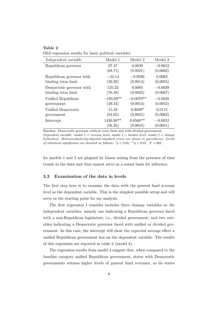OLS regression results for basic political variables

| Independent variable     | Model 1     | Model 2     | Model 3   |
|--------------------------|-------------|-------------|-----------|
| Republican governor      | 97.47       | 0.0039      | $-0.0012$ |
|                          | (69.71)     | (0.0021)    | (0.0062)  |
| Republican governor with | $-44.14$    | $-0.0026$   | 0.0062    |
| binding term limit       | (50.38)     | (0.0014)    | (0.0055)  |
| Democratic governor with | 125.23      | 0.0005      | $-0.0039$ |
| binding term limit       | (76.38)     | (0.0025)    | (0.0067)  |
| Unified Republican       | $-195.69**$ | $-0.0079**$ | $-0.0028$ |
| government               | (49.34)     | (0.0014)    | (0.0052)  |
| Unified Democratic       | 15.43       | $0.0049*$   | 0.0115    |
| government               | (64.05)     | (0.0021)    | (0.0062)  |
| Intercept                | $1430.30**$ | $0.0560**$  | $-0.0052$ |
|                          | (56.35)     | (0.0018)    | (0.0051)  |

Baseline: Democratic governor without term limit and with divided government. Dependent variable: model  $1 =$  revenue level, model  $2 =$  burden level, model  $3 =$  change ln(burden). Heteroscedasticity-adjusted standard errors are shown in parentheses. Levels of statistical significance are denoted as follows:  ${}^*p < 0.05, {}^{**}p < 0.01$ .  $N = 801$ .

for models 1 and 2 are plagued by biases arising from the presence of time trends in the data and thus cannot serve as a sound basis for inference.

#### 3.3 Examination of the data in levels

The first step here is to examine the data with the general fund revenue level as the dependent variable. This is the simplest possible setup and will serve as the starting point for my analysis.

The first regression I consider includes three dummy variables as the independent variables, namely one indicating a Republican governor faced with a non-Republican legislature, i.e., divided government, and two variables indicating a Democratic governor faced with unified or divided government. In this case, the intercept will show the expected average effect a unified Republican government has on the dependent variable. The results of this regression are reported in table 3 (model 4).

The regression results from model 4 suggest that, when compared to the baseline category unified Republican government, states with Democratic governments witness higher levels of general fund revenues, as do states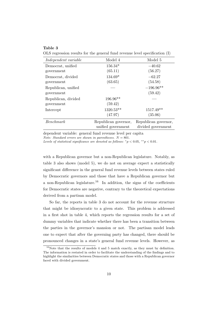OLS regression results for the general fund revenue level specification (I)

| Independent variable | Model 4              | Model 5              |
|----------------------|----------------------|----------------------|
| Democrat, unified    | $156.34*$            | $-40.62$             |
| government           | (65.11)              | (56.27)              |
| Democrat, divided    | 134.69*              | $-62.27$             |
| government           | (63.65)              | (54.58)              |
| Republican, unified  |                      | $-196.96**$          |
| government           |                      | (59.42)              |
| Republican, divided  | $196.96**$           |                      |
| government           | (59.42)              |                      |
| Intercept            | $1320.53**$          | 1517.49**            |
|                      | (47.97)              | (35.06)              |
| Benchmark            | Republican governor, | Republican governor, |
|                      | unified government   | divided government   |

dependent variable: general fund revenue level per capita Note: Standard errors are shown in parentheses.  $N = 801$ .

Levels of statistical significance are denoted as follows:  ${}^*p < 0.05, {}^{**}p < 0.01$ .

with a Republican governor but a non-Republican legislature. Notably, as table 3 also shows (model 5), we do not on average expect a statistically significant difference in the general fund revenue levels between states ruled by Democratic governors and those that have a Republican governor but a non-Republican legislature.<sup>16</sup> In addition, the signs of the coefficients for Democratic states are negative, contrary to the theoretical expectations derived from a partisan model.

So far, the reports in table 3 do not account for the revenue structure that might be idiosyncratic to a given state. This problem is addressed in a first shot in table 4, which reports the regression results for a set of dummy variables that indicate whether there has been a transition between the parties in the governor's mansion or not. The partisan model leads one to expect that after the governing party has changed, there should be pronounced changes in a state's general fund revenue levels. However, as

<sup>16</sup>Note that the results of models 4 and 5 match exactly, as they must by definition. The information is restated in order to facilitate the understanding of the findings and to highlight the similarities between Democratic states and those with a Republican governor faced with divided government.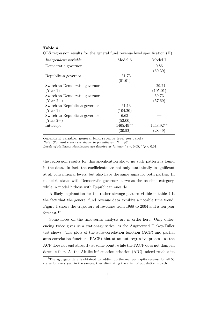OLS regression results for the general fund revenue level specification (II)

| Model 6   | Model 7     |
|-----------|-------------|
|           | 0.86        |
|           | (50.39)     |
| $-31.73$  |             |
| (51.91)   |             |
|           | $-29.24$    |
|           | (105.01)    |
|           | 50.73       |
|           | (57.69)     |
| $-61.13$  |             |
| (104.20)  |             |
| 6.63      |             |
| (52.00)   |             |
| 1465.49** | $1448.92**$ |
| (30.52)   | (28.49)     |
|           |             |

dependent variable: general fund revenue level per capita

Note: Standard errors are shown in parentheses.  $N = 801$ .

Levels of statistical significance are denoted as follows:  ${}^*p < 0.05, {}^{**}p < 0.01$ .

the regression results for this specification show, no such pattern is found in the data. In fact, the coefficients are not only statistically insignificant at all conventional levels, but also have the same signs for both parties. In model 6, states with Democratic governors serve as the baseline category, while in model 7 those with Republican ones do.

A likely explanation for the rather strange pattern visible in table 4 is the fact that the general fund revenue data exhibits a notable time trend. Figure 1 shows the trajectory of revenues from 1988 to 2004 and a ten-year forecast.<sup>17</sup>

Some notes on the time-series analysis are in order here: Only differencing twice gives us a stationary series, as the Augmented Dickey-Fuller test shows. The plots of the auto-correlation function (ACF) and partial auto-correlation function (PACF) hint at an autoregressive process, as the ACF does not end abruptly at some point, while the PACF does not dampen down, either. As the Akaike information criterion (AIC) indeed reaches its

 $17$ The aggregate data is obtained by adding up the real per capita revenue for all 50 states for every year in the sample, thus eliminating the effect of population growth.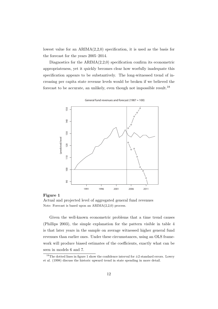lowest value for an  $ARIMA(2,2,0)$  specification, it is used as the basis for the forecast for the years 2005–2014.

Diagnostics for the  $ARIMA(2,2,0)$  specification confirm its econometric appropriateness, yet it quickly becomes clear how woefully inadequate this specification appears to be substantively. The long-witnessed trend of increasing per capita state revenue levels would be broken if we believed the forecast to be accurate, an unlikely, even though not impossible result.<sup>18</sup>



**General fund revenues and forecast (1987 = 100)**

#### Figure 1

Actual and projected level of aggregated general fund revenues Note: Forecast is based upon an ARIMA(2,2,0) process.

Given the well-known econometric problems that a time trend causes (Phillips 2003), the simple explanation for the pattern visible in table 4 is that later years in the sample on average witnessed higher general fund revenues than earlier ones. Under these circumstances, using an OLS framework will produce biased estimates of the coefficients, exactly what can be seen in models 6 and 7.

<sup>&</sup>lt;sup>18</sup>The dotted lines in figure 1 show the confidence interval for  $\pm 2$  standard errors. Lowry et al. (1998) discuss the historic upward trend in state spending in more detail.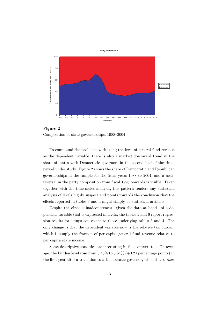



To compound the problems with using the level of general fund revenue as the dependent variable, there is also a marked downward trend in the share of states with Democratic governors in the second half of the timeperiod under study. Figure 2 shows the share of Democratic and Republican governorships in the sample for the fiscal years 1988 to 2004, and a nearreversal in the party composition from fiscal 1996 onwards is visible. Taken together with the time series analysis, this pattern renders any statistical analysis of levels highly suspect and points towards the conclusion that the effects reported in tables 3 and 4 might simply be statistical artifacts.

Despite the obvious inadequateness—given the data at hand—of a dependent variable that is expressed in levels, the tables 5 and 6 report regression results for setups equivalent to those underlying tables 3 and 4. The only change is that the dependent variable now is the relative tax burden, which is simply the fraction of per capita general fund revenue relative to per capita state income.

Some descriptive statistics are interesting in this context, too. On average, the burden level rose from  $5.40\%$  to  $5.64\%$  (+0.24 percentage points) in the first year after a transition to a Democratic governor, while it also rose,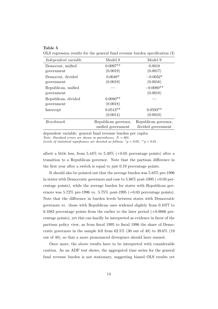OLS regression results for the general fund revenue burden specification (I)

| Independent variable | Model 8              | Model 9              |
|----------------------|----------------------|----------------------|
| Democrat, unified    | $0.0097**$           | 0.0018               |
| government           | (0.0019)             | (0.0017)             |
| Democrat, divided    | $0.0048*$            | $-0.0032*$           |
| government           | (0.0019)             | (0.0016)             |
| Republican, unified  |                      | $-0.0080**$          |
| government           |                      | (0.0018)             |
| Republican, divided  | $0.0080**$           |                      |
| government           | (0.0018)             |                      |
| Intercept            | $0.0513**$           | $0.0593**$           |
|                      | (0.0014)             | (0.0010)             |
| Benchmark            | Republican governor, | Republican governor, |
|                      | unified government   | divided government   |

dependent variable: general fund revenue burden per capita Note: Standard errors are shown in parentheses.  $N = 801$ .

Levels of statistical significance are denoted as follows:  ${}^*p < 0.05, {}^{**}p < 0.01$ .

albeit a little less, from  $5.44\%$  to  $5.49\%$  (+0.05 percentage points) after a transition to a Republican governor. Note that the partisan difference in the first year after a switch is equal to just 0.19 percentage points.

It should also be pointed out that the average burden was 5.83% pre-1996 in states with Democratic governors and rose to  $5.86\%$  post-1995 (+0.03 percentage points), while the average burden for states with Republican governors was 5.72% pre-1996 vs. 5.75% post-1995 (+0.03 percentage points). Note that the difference in burden levels between states with Democratic governors vs. those with Republican ones widened slightly from 0.1077 to 0.1083 percentage points from the earlier to the later period  $(+0.0006$  percentage points), yet this can hardly be interpreted as evidence in favor of the partisan policy view, as from fiscal 1995 to fiscal 1996 the share of Democratic governors in the sample fell from 62.5% (30 out of 48) to 39.6% (19 out of 48), so that a more pronounced divergence should have ensued.

Once more, the above results have to be interpreted with considerable caution. As an ADF test shows, the aggregated time series for the general fund revenue burden is not stationary, suggesting biased OLS results yet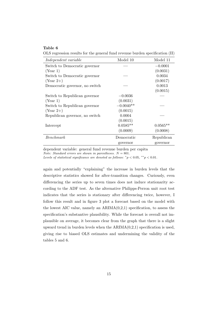OLS regression results for the general fund revenue burden specification (II)

| Model 10    | Model 11   |
|-------------|------------|
|             | $-0.0001$  |
|             | (0.0031)   |
|             | 0.0034     |
|             | (0.0017)   |
|             | 0.0013     |
|             | (0.0015)   |
| $-0.0036$   |            |
| (0.0031)    |            |
| $-0.0040**$ |            |
| (0.0015)    |            |
| 0.0004      |            |
| (0.0015)    |            |
| $0.0585**$  | $0.0565**$ |
| (0.0009)    | (0.0008)   |
| Democratic  | Republican |
| governor    | governor   |
|             |            |

dependent variable: general fund revenue burden per capita

Note: Standard errors are shown in parentheses.  $N = 801$ .

Levels of statistical significance are denoted as follows:  ${}^*p < 0.05, {}^{**}p < 0.01$ .

again and potentially "explaining" the increase in burden levels that the descriptive statistics showed for after-transition changes. Curiously, even differencing the series up to seven times does not induce stationarity according to the ADF test. As the alternative Philipps-Perron unit root test indicates that the series is stationary after differencing twice, however, I follow this result and in figure 3 plot a forecast based on the model with the lowest AIC value, namely an  $ARIMA(0,2,1)$  specification, to assess the specification's substantive plausibility. While the forecast is overall not implausible on average, it becomes clear from the graph that there is a slight upward trend in burden levels when the  $ARIMA(0,2,1)$  specification is used, giving rise to biased OLS estimates and undermining the validity of the tables 5 and 6.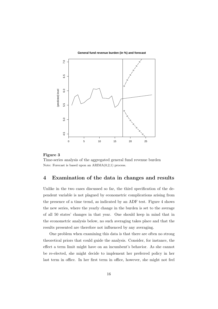



#### Figure 3

Time-series analysis of the aggregated general fund revenue burden Note: Forecast is based upon an  $ARIMA(0,2,1)$  process.

# 4 Examination of the data in changes and results

Unlike in the two cases discussed so far, the third specification of the dependent variable is not plagued by econometric complications arising from the presence of a time trend, as indicated by an ADF test. Figure 4 shows the new series, where the yearly change in the burden is set to the average of all 50 states' changes in that year. One should keep in mind that in the econometric analysis below, no such averaging takes place and that the results presented are therefore not influenced by any averaging.

One problem when examining this data is that there are often no strong theoretical priors that could guide the analysis. Consider, for instance, the effect a term limit might have on an incumbent's behavior. As she cannot be re-elected, she might decide to implement her preferred policy in her last term in office. In her first term in office, however, she might not feel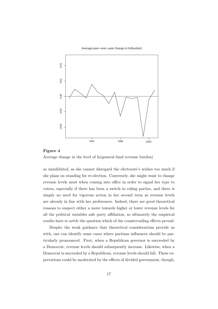#### **Average year−over−year change in ln(burden)**





so uninhibited, as she cannot disregard the electorate's wishes too much if she plans on standing for re-election. Conversely, she might want to change revenue levels most when coming into office in order to signal her type to voters, especially if there has been a switch in ruling parties, and there is simply no need for vigorous action in her second term as revenue levels are already in line with her preferences. Indeed, there are good theoretical reasons to suspect either a move towards higher or lower revenue levels for all the political variables safe party affiliation, so ultimately the empirical results have to settle the question which of the countervailing effects prevail.

Despite the weak guidance that theoretical considerations provide us with, one can identify some cases where partisan influences should be particularly pronounced. First, when a Republican governor is succeeded by a Democrat, revenue levels should subsequently increase. Likewise, when a Democrat is succeeded by a Republican, revenue levels should fall. These expectations could be moderated by the effects of divided government, though,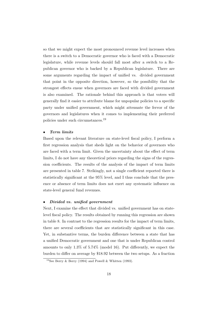so that we might expect the most pronounced revenue level increases when there is a switch to a Democratic governor who is faced with a Democratic legislature, while revenue levels should fall most after a switch to a Republican governor who is backed by a Republican legislature. There are some arguments regarding the impact of unified vs. divided government that point in the opposite direction, however, so the possibility that the strongest effects ensue when governors are faced with divided government is also examined. The rationale behind this approach is that voters will generally find it easier to attribute blame for unpopular policies to a specific party under unified government, which might attenuate the fervor of the governors and legislatures when it comes to implementing their preferred policies under such circumstances.<sup>19</sup>

#### • Term limits

Based upon the relevant literature on state-level fiscal policy, I perform a first regression analysis that sheds light on the behavior of governors who are faced with a term limit. Given the uncertainty about the effect of term limits, I do not have any theoretical priors regarding the signs of the regression coefficients. The results of the analysis of the impact of term limits are presented in table 7. Strikingly, not a single coefficient reported there is statistically significant at the 95% level, and I thus conclude that the presence or absence of term limits does not exert any systematic influence on state-level general fund revenues.

#### • Divided vs. unified government

Next, I examine the effect that divided vs. unified government has on statelevel fiscal policy. The results obtained by running this regression are shown in table 8. In contrast to the regression results for the impact of term limits, there are several coefficients that are statistically significant in this case. Yet, in substantive terms, the burden difference between a state that has a unified Democratic government and one that is under Republican control amounts to only 1.3% of 5.74% (model 16). Put differently, we expect the burden to differ on average by \$18.92 between the two setups. As a fraction

<sup>&</sup>lt;sup>19</sup>See Berry & Berry (1994) and Powell & Whitten (1993).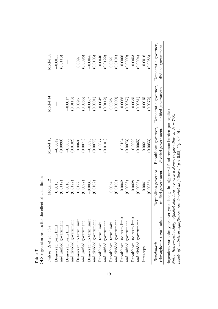| OLS regression results for the effect of term limits                                    |                      |                      |                     |                      |
|-----------------------------------------------------------------------------------------|----------------------|----------------------|---------------------|----------------------|
| Independent variable                                                                    | Model 12             | Model 13             | Model 14            | Model 15             |
| Democrat, term limit                                                                    | 0.0013               | $-0.0049$            |                     | $-0.0011$            |
| and unified government                                                                  | (0.0112)             | (0.0090)             |                     | (0.0113)             |
| Democrat, term limit                                                                    | 0.0010               | $-0.0053$            | $-0.0017$           |                      |
| and divided government                                                                  | (0.0122)             | (0.0102)             | (0.0113)            |                      |
| Democrat, no term limit                                                                 | 0.0122               | 0.0060               | 0.0096              | 0.0097               |
| and unified government                                                                  | (0.0097)             | (0.0071)             | (0.0086)            | (0.0098)             |
| Democrat, no term limit                                                                 | $-0.0031$            | $-0.0093$            | $-0.0057$           | $-0.0055$            |
| and divided government                                                                  | (0.0102)             | (0.0077)             | (0.0091)            | (0.0103)             |
| Republican, term limit                                                                  |                      | $-0.0077$            | $-0.0042$           | $-0.0040$            |
| and unified government                                                                  |                      | (0.0101)             | (0.0112)            | (0.0122)             |
| Republican, term limit                                                                  | 0.0054               |                      | 0.0028              | 0.0029               |
| and divided government                                                                  | (0.0100)             |                      | (0.0090)            | (0.0101)             |
| Republican, no term limit                                                               | $-0.0042$            | $-0.0104$            | $-0.0068$           | $-0.0066$            |
| and unified government                                                                  | (0.0098)             | (0.0073)             | (0.0087)            | (0.0099)             |
| Republican, no term limit                                                               | $-0.0028$            | $-0.0090$            | $-0.0055$           | $-0.0053$            |
| and divided government                                                                  | (0.0093)             | (0.0065)             | (0.0081)            | (0.0094)             |
| Intercept                                                                               | $-0.0041$            | 0.0021               | $-0.0015$           | $-0.0016$            |
|                                                                                         | (0.0085)             | (0.0053)             | (0.0072)            | (0.0086)             |
| Benchmark                                                                               | Republican governor, | Republican governor, | Democratic governor | Democratic governor, |
| (throughout: term limits)                                                               | unified government   | divided government   | unified government  | divided government   |
| dependent variable: year-over-year change in ln(general fund revenue burden per capita) |                      |                      |                     |                      |

Note: Heteroscedasticity-adjusted standard errors are shown in parentheses. N = 738.<br>r

Note: Heteroscedasticity-adjusted standard errors are shown in parentheses.  $N = 738$ .<br>Levels of statistical significance are denoted as follows:  $*_p < 0.05$ ,  $_{**p} < 0.01$ .

Levels of statistical significance are denoted as follows: \* $p < 0.05$ , \*\* $p < 0.01$ .

results for the effect of term limits  $\frac{1}{2}$ Table 7<br>OI S regre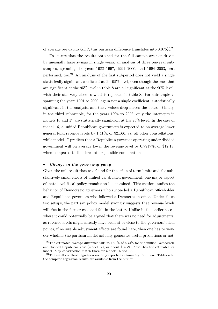of average per capita GDP, this partisan difference translates into 0.075%.<sup>20</sup>

To ensure that the results obtained for the full sample are not driven by unusually large swings in single years, an analysis of three ten-year subsamples, spanning the years 1988–1997, 1991–2000, and 1994–2003, was performed, too.<sup>21</sup> An analysis of the first subperiod does not yield a single statistically significant coefficient at the 95% level, even though the ones that are significant at the 95% level in table 8 are all significant at the 90% level, with their size very close to what is reported in table 8. For subsample 2, spanning the years 1991 to 2000, again not a single coefficient is statistically significant in the analysis, and the t-values drop across the board. Finally, in the third subsample, for the years 1994 to 2003, only the intercepts in models 16 and 17 are statistically significant at the 95% level. In the case of model 16, a unified Republican government is expected to on average lower general fund revenue levels by  $1.41\%$ , or \$21.66, vs. all other constellations, while model 17 predicts that a Republican governor operating under divided government will on average lower the revenue level by 0.7917%, or \$12.18, when compared to the three other possible combinations.

#### • Change in the governing party

Given the null result that was found for the effect of term limits and the substantively small effects of unified vs. divided government, one major aspect of state-level fiscal policy remains to be examined. This section studies the behavior of Democratic governors who succeeded a Republican officeholder and Republican governors who followed a Democrat in office. Under these two setups, the partisan policy model strongly suggests that revenue levels will rise in the former case and fall in the latter. Unlike in the earlier cases, where it could potentially be argued that there was no need for adjustments, as revenue levels might already have been at or close to the governors' ideal points, if no sizable adjustment effects are found here, then one has to wonder whether the partisan model actually generates useful predictions or not.

<sup>&</sup>lt;sup>20</sup>The estimated average difference falls to 1.01% of 5.74% for the unified Democratic and divided Republican case (model 17), or about \$14.79. Note that the estimates for model 18 by construction match those for models 16 and 17.

<sup>&</sup>lt;sup>21</sup>The results of these regression are only reported in summary form here. Tables with the complete regression results are available from the author.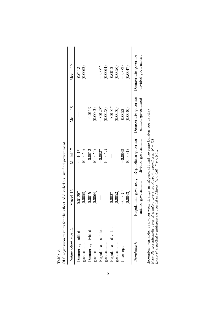| $\emph{Independent variable}$ | Model 16                                   | Model 17                                   | Model 18                                   | Model 19                                   |
|-------------------------------|--------------------------------------------|--------------------------------------------|--------------------------------------------|--------------------------------------------|
| Democrat, unified             | $0.0129*$                                  | $0.0101*$                                  |                                            | 0.0113                                     |
| government                    | (0.0058)                                   | (0.0050)                                   |                                            | (0.0062)                                   |
| Democrat, divided             | 0.0015                                     | $-0.0012$                                  | $-0.0113$                                  |                                            |
| government                    | (0.0064)                                   | (0.0056)                                   | (0.0062)                                   |                                            |
| Republican, unified           |                                            | $-0.0027$                                  | $-0.0129*$                                 | $-0.0015$                                  |
| government                    |                                            | (0.0052)                                   | (0.0058)                                   | (0.0064)                                   |
| Republican, divided           | 0.0027                                     |                                            | $-0.0101*$                                 | 0.0012                                     |
| government                    | (0.0052)                                   |                                            | (0.0050)                                   | (0.0056)                                   |
| Intercept                     | $-0.0076$                                  | $-0.0048$                                  | 0.0053                                     | $-0.0060$                                  |
|                               | (0.0043)                                   | (0.0031)                                   | (0.0040)                                   | (0.0047)                                   |
| Benchmark                     | Republican governor,<br>unified government | Republican governor,<br>divided government | Democratic governor,<br>unified government | Democratic governor,<br>divided government |

Note: Heteroscedasticity-adjusted standard errors are shown in parentheses.  $N = 738$ .<br>Levels of statistical significance are denoted as follows:  $*_p < 0.05$ ,  $*_p < 0.01$ . Note: Heteroscedasticity-adjusted standard errors are shown in parentheses.  $N = 738$ .<br>  $\ldots$ 

Levels of statistical significance are denoted as follows: \* $p < 0.05$ , \*\* $p < 0.01$ .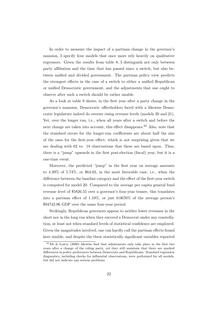In order to measure the impact of a partisan change in the governor's mansion, I specify four models that once more rely heavily on qualitative regressors. Given the results from table 8, I distinguish not only between party affiliation and the time that has passed since a switch, but also between unified and divided government. The partisan policy view predicts the strongest effects in the case of a switch to either a unified Republican or unified Democratic government, and the adjustments that one ought to observe after such a switch should be rather sizable.

As a look at table 9 shows, in the first year after a party change in the governor's mansion, Democratic officeholders faced with a likewise Democratic legislature indeed do oversee rising revenue levels (models 20 and 21). Yet, over the longer run, i.e., when all years after a switch and before the next change are taken into account, this effect disappears.<sup>22</sup> Also, note that the standard errors for the longer-run coefficients are about half the size of the ones for the first-year effect, which is not surprising given that we are dealing with 62 vs. 18 observations that these are based upon. Thus, there is a "jump" upwards in the first post-election (fiscal) year, but it is a one-time event.

Moreover, the predicted "jump" in the first year on average amounts to 4.39% of 5.74%, or \$64.02, in the most favorable case, i.e., when the difference between the baseline category and the effect of the first-year switch is computed for model 20. Compared to the average per capita general fund revenue level of \$5826.55 over a governor's four-year tenure, this translates into a partisan effect of 1.10%, or just 0.0676% of the average person's \$94742.96 GDP over the same four-year period.

Strikingly, Republican governors appear to neither lower revenues in the short nor in the long run when they succeed a Democrat under any constellation, at least not when standard levels of statistical confidence are employed. Given the magnitudes involved, one can hardly call the partisan effects found here sizable, and despite the three statistically significant variables reported

<sup>&</sup>lt;sup>22</sup>Alt & Lowry (2000) likewise find that adjustments only take place in the first two years after a change of the ruling party, yet they still maintain that there are marked differences in policy preferences between Democrats and Republicans. Standard regression diagnostics, including checks for influential observations, were performed for all models, but did not indicate any serious problems.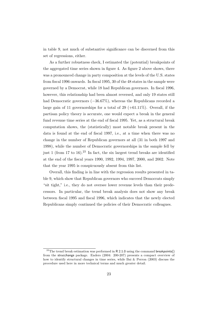in table 9, not much of substantive significance can be discerned from this set of regressions, either.

As a further robustness check, I estimated the (potential) breakpoints of the aggregated time series shown in figure 4. As figure 2 above shows, there was a pronounced change in party composition at the levels of the U.S. states from fiscal 1996 onwards. In fiscal 1995, 30 of the 48 states in the sample were governed by a Democrat, while 18 had Republican governors. In fiscal 1996, however, this relationship had been almost reversed, and only 19 states still had Democratic governors (−36.67%), whereas the Republicans recorded a large gain of 11 governorships for a total of 29  $(+61.11\%)$ . Overall, if the partisan policy theory is accurate, one would expect a break in the general fund revenue time series at the end of fiscal 1995. Yet, as a structural break computation shows, the (statistically) most notable break present in the data is found at the end of fiscal 1997, i.e., at a time when there was no change in the number of Republican governors at all (31 in both 1997 and 1998), while the number of Democratic governorships in the sample fell by just 1 (from 17 to 16).<sup>23</sup> In fact, the six largest trend breaks are identified at the end of the fiscal years 1990, 1992, 1994, 1997, 2000, and 2002. Note that the year 1995 is conspicuously absent from this list.

Overall, this finding is in line with the regression results presented in table 9, which show that Republican governors who succeed Democrats simply "sit tight," i.e., they do not oversee lower revenue levels than their predecessors. In particular, the trend break analysis does not show any break between fiscal 1995 and fiscal 1996, which indicates that the newly elected Republicans simply continued the policies of their Democratic colleagues.

 $23$ The trend break estimation was performed in R 2.1.0 using the command breakpoints() from the strucchange package. Enders (2004: 200-207) presents a compact overview of how to identify structural changes in time series, while Bai & Perron (2003) discuss the procedure used here in more technical terms and much greater detail.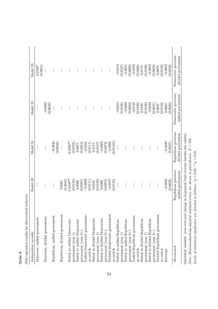| Independent variable                                                                    | Model 20                                   | Model 21                                   | Model 22                                   | Model 23                                   |
|-----------------------------------------------------------------------------------------|--------------------------------------------|--------------------------------------------|--------------------------------------------|--------------------------------------------|
| Democrat, unified government                                                            |                                            |                                            |                                            | $0.0108*$                                  |
|                                                                                         |                                            |                                            |                                            | (0.0051)                                   |
| Democrat, divided government                                                            |                                            |                                            | $-0.0065$                                  |                                            |
|                                                                                         |                                            |                                            | (0.0055)                                   |                                            |
| Republican, unified government                                                          |                                            | $-0.0036$                                  |                                            |                                            |
|                                                                                         |                                            | (0.0050)                                   |                                            |                                            |
| Republican, divided government                                                          | 0.0001                                     |                                            |                                            |                                            |
|                                                                                         | (0.0045)                                   |                                            |                                            |                                            |
| Switch to unified Democratic                                                            | $0.0430**$                                 | $0.0420**$                                 |                                            |                                            |
| government (year $1)$                                                                   | (0.0133)                                   | (0.0132)                                   |                                            |                                            |
| Switch to unified Democratic                                                            | 0.0086                                     | 0.0077                                     |                                            |                                            |
| government (year $2+$ )                                                                 | (0.0067)                                   | (0.0064)                                   |                                            |                                            |
| Unified Democratic government,                                                          | $-0.0096$                                  | $-0.0101$                                  |                                            |                                            |
| no switch                                                                               | (0.0111)                                   | (0.0111)                                   |                                            |                                            |
| Switch to divided Democratic                                                            | 0.0185                                     | 0.0175                                     |                                            |                                            |
| government (year 1)                                                                     | (0.0129)                                   | (0.0127)                                   |                                            |                                            |
| Switch to divided Democratic                                                            | 0.0006                                     | $-0.0003$                                  |                                            |                                            |
| government (year $2+$ )                                                                 | (5100.00)                                  | (0.0072)                                   |                                            |                                            |
| Divided Democratic government,                                                          | $-0.0197$                                  | $-0.0203$                                  |                                            |                                            |
| no switch                                                                               | (0.0143)                                   | (0.01431)                                  |                                            |                                            |
| Switch to unified Republican                                                            |                                            |                                            | $-0.0214$                                  | $-0.0155$                                  |
| government (year 1)                                                                     |                                            |                                            | (0.0126)                                   | (0.0127)                                   |
| Switch to unified Republican                                                            |                                            |                                            | $-0.0088$                                  | $-0.0031$                                  |
| government (year $2+$ )                                                                 |                                            |                                            | (0.0063)                                   | 0.0065                                     |
| Unified Republican government,                                                          |                                            |                                            | $-0.0125$                                  | $-0.0102$                                  |
| no switch                                                                               |                                            |                                            | (0.0198)                                   | (0.0200)                                   |
| Switch to divided Republican                                                            |                                            |                                            | 0.0120                                     | 0.0179                                     |
| government (year 1)                                                                     |                                            |                                            | (0.0108)                                   | (0.0109)                                   |
| Switch to divided Republican                                                            |                                            |                                            | $-0.0010$                                  | $-0.0043$                                  |
| government (year $2+$ )                                                                 |                                            |                                            | (0.0051)                                   | 0.0053                                     |
| Divided Republican government,                                                          |                                            |                                            | 0.0037                                     | 0.0079                                     |
| no switch                                                                               |                                            |                                            | (0.0122)                                   | (0.0123)                                   |
| Intercept                                                                               | $-0.0049$                                  | $-0.0040$                                  | 0.0004                                     | $-0.0055$                                  |
|                                                                                         | (0.0033)                                   | (0.0027)                                   | (0.0028)                                   | (0.0032)                                   |
| Benchmark                                                                               | Republican governor,<br>unified government | Republican governor,<br>divided government | Democratic governor,<br>unified government | Democratic governor,<br>divided government |
| dependent variable: year-over-year change in ln(general fund revenue burden per capita) |                                            |                                            |                                            |                                            |
| Note: Heteroscedasticity-adjusted standard errors are shown in parentheses. $N = 738$ . |                                            |                                            |                                            |                                            |

Note: Heteroscedasticity-adjusted standard errors are shown in parentheses.  $N = 738$ .

Levels of statistical significance are denoted as follows: \* $p < 0.05$ , \*\* $p < 0.01$ .

Levels of statistical significance are denoted as follows:  $*_p$  < 0.05,  $*_p$  < 0.01.

OLS regression results for after-switch behavior OLS regression results for after-switch behavior

Table 9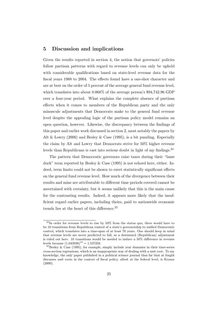# 5 Discussion and implications

Given the results reported in section 4, the notion that governors' policies follow partisan patterns with regard to revenue levels can only be upheld with considerable qualifications based on state-level revenue data for the fiscal years 1988 to 2004. The effects found have a one-shot character and are at best on the order of 5 percent of the average general fund revenue level, which translates into about 0.068% of the average person's \$94,742.96 GDP over a four-year period. What explains the complete absence of partisan effects when it comes to members of the Republican party and the only minuscule adjustments that Democrats make to the general fund revenue level despite the appealing logic of the partisan policy model remains an open question, however. Likewise, the discrepancy between the findings of this paper and earlier work discussed in section 2, most notably the papers by Alt  $&$  Lowry (2000) and Besley  $&$  Case (1995), is a bit puzzling. Especially the claim by Alt and Lowry that Democrats strive for 50% higher revenue levels than Republicans is cast into serious doubt in light of my findings.<sup>24</sup>

The pattern that Democratic governors raise taxes during their "lame duck" term reported by Besley  $&$  Case (1995) is not echoed here, either. Indeed, term limits could not be shown to exert statistically significant effects on the general fund revenue level. How much of the divergence between their results and mine are attributable to different time periods covered cannot be ascertained with certainty, but it seems unlikely that this is the main cause for the contrasting results. Indeed, it appears more likely that the insufficient regard earlier papers, including theirs, paid to nationwide economic trends lies at the heart of this difference.<sup>25</sup>

 $^{24}$ In order for revenue levels to rise by 50% from the status quo, there would have to be 10 transitions from Republican control of a state's governorship to unified Democratic control, which translates into a time-span of at least 76 years. One should keep in mind that revenue levels are never predicted to fall, so a downward (Republican) adjustment is ruled out here. 10 transitions would be needed to induce a 50% difference in revenue levels because  $(1.043938)^{10} = 1.537259$ .

<sup>&</sup>lt;sup>25</sup>Besley & Case (1995), for example, simply include year dummies in their time-series cross-section regressions, which is an inappropriate way of dealing with a unit root. To my knowledge, the only paper published in a political science journal thus far that at length discusses unit roots in the context of fiscal policy, albeit at the federal level, is Krause  $(2000).$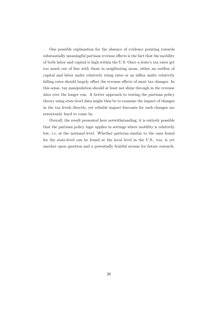One possible explanation for the absence of evidence pointing towards substantially meaningful partisan revenue effects is the fact that the mobility of both labor and capital is high within the U.S. Once a state's tax rates get too much out of line with those in neighboring areas, either an outflux of capital and labor under relatively rising rates or an influx under relatively falling rates should largely offset the revenue effects of most tax changes. In this sense, tax manipulation should at least not shine through in the revenue data over the longer run. A better approach to testing the partisan policy theory using state-level data might thus be to examine the impact of changes in the tax levels directly, yet reliable impact forecasts for such changes are notoriously hard to come by.

Overall, the result presented here notwithstanding, it is entirely possible that the partisan policy logic applies in settings where mobility is relatively low, i.e, at the national level. Whether patterns similar to the ones found for the state-level can be found at the local level in the U.S., too, is yet another open question and a potentially fruitful avenue for future research.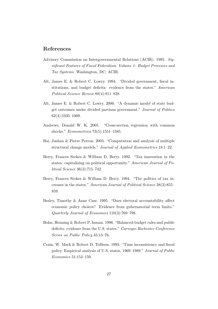# References

- Advisory Commission on Intergovernmental Relations (ACIR). 1995. Significant Features of Fiscal Federalism. Volume 1: Budget Processes and Tax Systems. Washington, DC: ACIR.
- Alt, James E. & Robert C. Lowry. 1994. "Divided government, fiscal institutions, and budget deficits: evidence from the states." American Political Science Review 88(4):811–828.
- Alt, James E. & Robert C. Lowry. 2000. "A dynamic model of state budget outcomes under divided partisan government." Journal of Politics 62(4):1035–1069.
- Andrews, Donald W. K. 2005. "Cross-section regression with common shocks." Econometrica 73(5):1551–1585.
- Bai, Jushan & Pierre Perron. 2003. "Computation and analysis of multiple structural change models." Journal of Applied Econometrics 18:1–22.
- Berry, Frances Stokes & William D. Berry. 1992. "Tax innovation in the states: capitalizing on political opportunity." American Journal of Political Science 36(3):715–742.
- Berry, Frances Stokes & William D. Berry. 1994. "The politics of tax increases in the states." American Journal of Political Science 38(3):855– 859.
- Besley, Timothy & Anne Case. 1995. "Does electoral accountability affect economic policy choices? Evidence from gubernatorial term limits." Quarterly Journal of Economics 110(3):769–798.
- Bohn, Henning & Robert P. Inman. 1996. "Balanced-budget rules and public deficits: evidence from the U.S. states." Carnegie-Rochester Conference Series on Public Policy 45:13–76.
- Crain, W. Mark & Robert D. Tollison. 1993. "Time inconsistency and fiscal policy. Empirical analysis of U.S. states, 1969–1989." Journal of Public Economics 51:153–159.